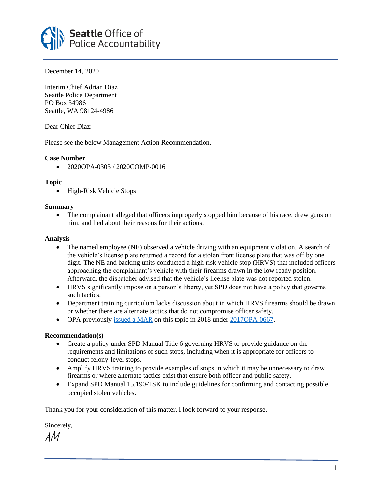

December 14, 2020

Interim Chief Adrian Diaz Seattle Police Department PO Box 34986 Seattle, WA 98124-4986

Dear Chief Diaz:

Please see the below Management Action Recommendation.

# **Case Number**

• 2020OPA-0303 / 2020COMP-0016

# **Topic**

• High-Risk Vehicle Stops

### **Summary**

• The complainant alleged that officers improperly stopped him because of his race, drew guns on him, and lied about their reasons for their actions.

# **Analysis**

- The named employee (NE) observed a vehicle driving with an equipment violation. A search of the vehicle's license plate returned a record for a stolen front license plate that was off by one digit. The NE and backing units conducted a high-risk vehicle stop (HRVS) that included officers approaching the complainant's vehicle with their firearms drawn in the low ready position. Afterward, the dispatcher advised that the vehicle's license plate was not reported stolen.
- HRVS significantly impose on a person's liberty, yet SPD does not have a policy that governs such tactics.
- Department training curriculum lacks discussion about in which HRVS firearms should be drawn or whether there are alternate tactics that do not compromise officer safety.
- OPA previously [issued a MAR](https://www.seattle.gov/Documents/Departments/OPA/ManagementAction/MAR_Letter_040518.pdf) on this topic in 2018 under [2017OPA-0667.](https://www.seattle.gov/Documents/Departments/OPA/ClosedCaseSummaries/2017OPA-0667ccs010318.pdf)

# **Recommendation(s)**

- Create a policy under SPD Manual Title 6 governing HRVS to provide guidance on the requirements and limitations of such stops, including when it is appropriate for officers to conduct felony-level stops.
- Amplify HRVS training to provide examples of stops in which it may be unnecessary to draw firearms or where alternate tactics exist that ensure both officer and public safety.
- Expand SPD Manual 15.190-TSK to include guidelines for confirming and contacting possible occupied stolen vehicles.

Thank you for your consideration of this matter. I look forward to your response.

Sincerely,

AM